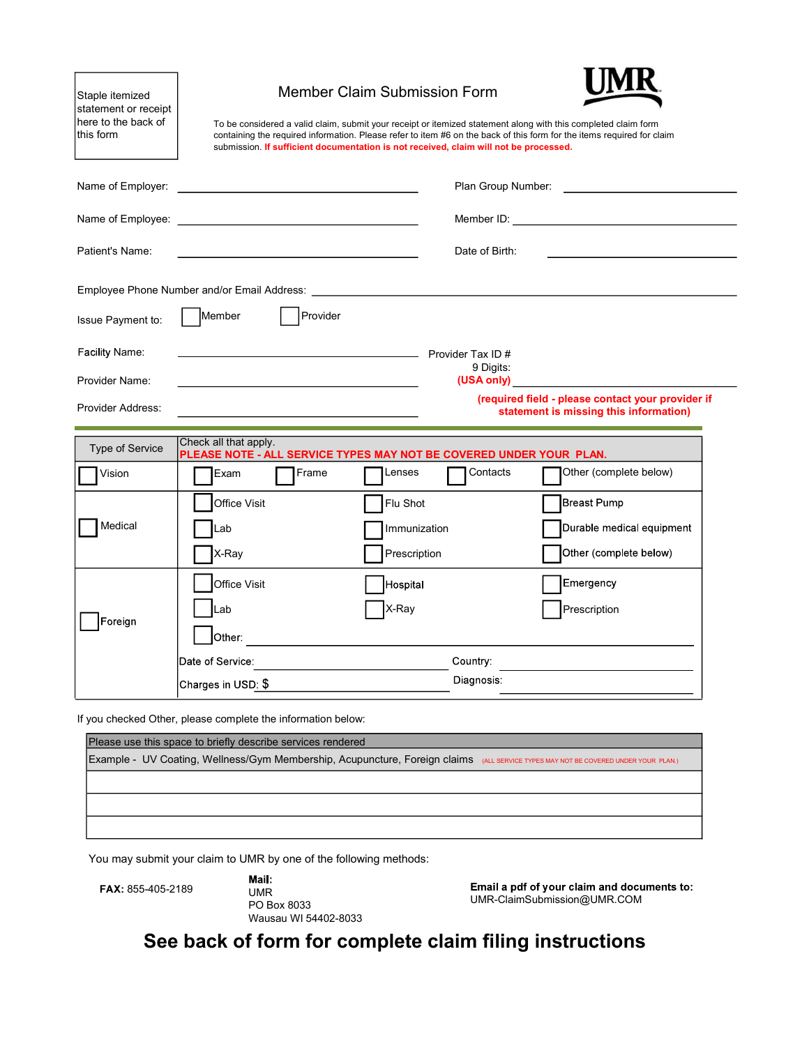| Staple itemized<br>statement or receipt<br>here to the back of<br>this form<br>Name of Employer: | <u> 1989 - Johann Stein, fransk politik (d. 1989)</u>                              | <b>Member Claim Submission Form</b><br>To be considered a valid claim, submit your receipt or itemized statement along with this completed claim form<br>submission. If sufficient documentation is not received, claim will not be processed. |                               | containing the required information. Please refer to item #6 on the back of this form for the items required for claim                                                                                                                                                             |
|--------------------------------------------------------------------------------------------------|------------------------------------------------------------------------------------|------------------------------------------------------------------------------------------------------------------------------------------------------------------------------------------------------------------------------------------------|-------------------------------|------------------------------------------------------------------------------------------------------------------------------------------------------------------------------------------------------------------------------------------------------------------------------------|
|                                                                                                  |                                                                                    |                                                                                                                                                                                                                                                |                               |                                                                                                                                                                                                                                                                                    |
| Patient's Name:                                                                                  |                                                                                    | the control of the control of the control of the control of the control of                                                                                                                                                                     | Date of Birth:                | <u> 1989 - Johann John Stein, markin fan it ferstjer fan it ferstjer fan it ferstjer fan it ferstjer fan it fers</u>                                                                                                                                                               |
| Issue Payment to:                                                                                | Member                                                                             | Provider                                                                                                                                                                                                                                       |                               |                                                                                                                                                                                                                                                                                    |
| Facility Name:<br>Provider Name:<br>Provider Address:                                            |                                                                                    |                                                                                                                                                                                                                                                | Provider Tax ID#<br>9 Digits: | (USA only) in the contract of the contract of the contract of the contract of the contract of the contract of the contract of the contract of the contract of the contract of the contract of the contract of the contract of<br>(required field - please contact your provider if |
| Type of Service                                                                                  | Check all that apply.                                                              |                                                                                                                                                                                                                                                |                               | statement is missing this information)                                                                                                                                                                                                                                             |
| Vision                                                                                           | Exam                                                                               | PLEASE NOTE - ALL SERVICE TYPES MAY NOT BE COVERED UNDER YOUR PLAN.<br>Frame<br>Lenses                                                                                                                                                         | Contacts                      | Other (complete below)                                                                                                                                                                                                                                                             |
| Medical                                                                                          | Office Visit<br>_ab<br>X-Ray                                                       | Flu Shot<br>Immunization<br>Prescription                                                                                                                                                                                                       |                               | <b>Breast Pump</b><br>Durable medical equipment<br>Other (complete below)                                                                                                                                                                                                          |
| Foreign                                                                                          | Office Visit<br>Lab<br>Other:                                                      | Hospital<br>X-Ray                                                                                                                                                                                                                              |                               | Emergency<br>Prescription                                                                                                                                                                                                                                                          |
|                                                                                                  | Date of Service:                                                                   |                                                                                                                                                                                                                                                | Country:<br>Diagnosis:        |                                                                                                                                                                                                                                                                                    |
|                                                                                                  |                                                                                    |                                                                                                                                                                                                                                                |                               |                                                                                                                                                                                                                                                                                    |
|                                                                                                  | Charges in USD: \$<br>If you checked Other, please complete the information below: |                                                                                                                                                                                                                                                |                               |                                                                                                                                                                                                                                                                                    |
|                                                                                                  | Please use this space to briefly describe services rendered                        |                                                                                                                                                                                                                                                |                               | Example - UV Coating, Wellness/Gym Membership, Acupuncture, Foreign claims (ALL SERVICE TYPES MAY NOT BE COVERED UNDER YOUR PLAN.)                                                                                                                                                 |
|                                                                                                  |                                                                                    |                                                                                                                                                                                                                                                |                               |                                                                                                                                                                                                                                                                                    |
|                                                                                                  |                                                                                    |                                                                                                                                                                                                                                                |                               |                                                                                                                                                                                                                                                                                    |
|                                                                                                  |                                                                                    | You may submit your claim to UMR by one of the following methods:                                                                                                                                                                              |                               |                                                                                                                                                                                                                                                                                    |